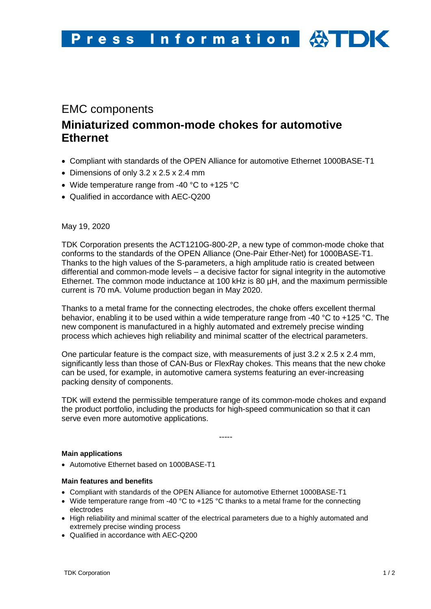# EMC components **Miniaturized common-mode chokes for automotive Ethernet**

- Compliant with standards of the OPEN Alliance for automotive Ethernet 1000BASE-T1
- Dimensions of only 3.2 x 2.5 x 2.4 mm
- Wide temperature range from -40 °C to +125 °C
- Qualified in accordance with AEC-Q200

May 19, 2020

TDK Corporation presents the ACT1210G-800-2P, a new type of common-mode choke that conforms to the standards of the OPEN Alliance (One-Pair Ether-Net) for 1000BASE-T1. Thanks to the high values of the S-parameters, a high amplitude ratio is created between differential and common-mode levels – a decisive factor for signal integrity in the automotive Ethernet. The common mode inductance at 100 kHz is 80 µH, and the maximum permissible current is 70 mA. Volume production began in May 2020.

Thanks to a metal frame for the connecting electrodes, the choke offers excellent thermal behavior, enabling it to be used within a wide temperature range from -40 °C to +125 °C. The new component is manufactured in a highly automated and extremely precise winding process which achieves high reliability and minimal scatter of the electrical parameters.

One particular feature is the compact size, with measurements of just  $3.2 \times 2.5 \times 2.4$  mm, significantly less than those of CAN-Bus or FlexRay chokes. This means that the new choke can be used, for example, in automotive camera systems featuring an ever-increasing packing density of components.

TDK will extend the permissible temperature range of its common-mode chokes and expand the product portfolio, including the products for high-speed communication so that it can serve even more automotive applications.

-----

#### **Main applications**

• Automotive Ethernet based on 1000BASE-T1

#### **Main features and benefits**

- Compliant with standards of the OPEN Alliance for automotive Ethernet 1000BASE-T1
- Wide temperature range from -40 °C to +125 °C thanks to a metal frame for the connecting electrodes
- High reliability and minimal scatter of the electrical parameters due to a highly automated and extremely precise winding process
- Qualified in accordance with AEC-Q200